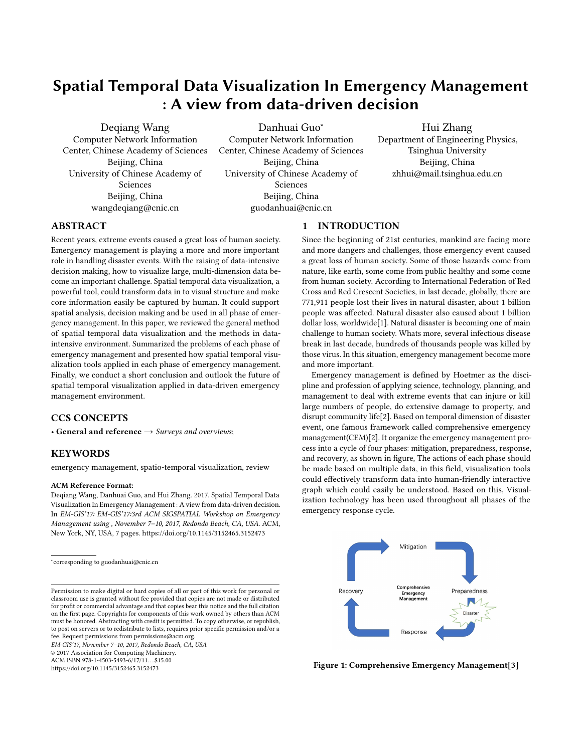# Spatial Temporal Data Visualization In Emergency Management : A view from data-driven decision

Deqiang Wang Computer Network Information Center, Chinese Academy of Sciences Beijing, China University of Chinese Academy of Sciences Beijing, China wangdeqiang@cnic.cn

Danhuai Guo<sup>∗</sup> Computer Network Information Center, Chinese Academy of Sciences Beijing, China University of Chinese Academy of Sciences Beijing, China guodanhuai@cnic.cn

Hui Zhang Department of Engineering Physics, Tsinghua University Beijing, China zhhui@mail.tsinghua.edu.cn

# ABSTRACT

Recent years, extreme events caused a great loss of human society. Emergency management is playing a more and more important role in handling disaster events. With the raising of data-intensive decision making, how to visualize large, multi-dimension data become an important challenge. Spatial temporal data visualization, a powerful tool, could transform data in to visual structure and make core information easily be captured by human. It could support spatial analysis, decision making and be used in all phase of emergency management. In this paper, we reviewed the general method of spatial temporal data visualization and the methods in dataintensive environment. Summarized the problems of each phase of emergency management and presented how spatial temporal visualization tools applied in each phase of emergency management. Finally, we conduct a short conclusion and outlook the future of spatial temporal visualization applied in data-driven emergency management environment.

# CCS CONCEPTS

• General and reference  $\rightarrow$  Surveys and overviews;

# **KEYWORDS**

emergency management, spatio-temporal visualization, review

#### ACM Reference Format:

Deqiang Wang, Danhuai Guo, and Hui Zhang. 2017. Spatial Temporal Data Visualization In Emergency Management : A view from data-driven decision. In EM-GIS'17: EM-GIS'17:3rd ACM SIGSPATIAL Workshop on Emergency Management using , November 7–10, 2017, Redondo Beach, CA, USA. ACM, New York, NY, USA, [7](#page-6-0) pages.<https://doi.org/10.1145/3152465.3152473>

Permission to make digital or hard copies of all or part of this work for personal or classroom use is granted without fee provided that copies are not made or distributed for profit or commercial advantage and that copies bear this notice and the full citation on the first page. Copyrights for components of this work owned by others than ACM must be honored. Abstracting with credit is permitted. To copy otherwise, or republish, to post on servers or to redistribute to lists, requires prior specific permission and/or a fee. Request permissions from permissions@acm.org.

EM-GIS'17, November 7–10, 2017, Redondo Beach, CA, USA

© 2017 Association for Computing Machinery.

ACM ISBN 978-1-4503-5493-6/17/11. . . \$15.00 <https://doi.org/10.1145/3152465.3152473>

1 INTRODUCTION

Since the beginning of 21st centuries, mankind are facing more and more dangers and challenges, those emergency event caused a great loss of human society. Some of those hazards come from nature, like earth, some come from public healthy and some come from human society. According to International Federation of Red Cross and Red Crescent Societies, in last decade, globally, there are 771,911 people lost their lives in natural disaster, about 1 billion people was affected. Natural disaster also caused about 1 billion dollar loss, worldwide[\[1\]](#page-5-0). Natural disaster is becoming one of main challenge to human society. Whats more, several infectious disease break in last decade, hundreds of thousands people was killed by those virus. In this situation, emergency management become more and more important.

Emergency management is defined by Hoetmer as the discipline and profession of applying science, technology, planning, and management to deal with extreme events that can injure or kill large numbers of people, do extensive damage to property, and disrupt community life[\[2\]](#page-5-1). Based on temporal dimension of disaster event, one famous framework called comprehensive emergency management(CEM)[\[2\]](#page-5-1). It organize the emergency management process into a cycle of four phases: mitigation, preparedness, response, and recovery, as shown in figure, The actions of each phase should be made based on multiple data, in this field, visualization tools could effectively transform data into human-friendly interactive graph which could easily be understood. Based on this, Visualization technology has been used throughout all phases of the emergency response cycle.



Figure 1: Comprehensive Emergency Management[\[3\]](#page-5-2)

<sup>∗</sup> corresponding to guodanhuai@cnic.cn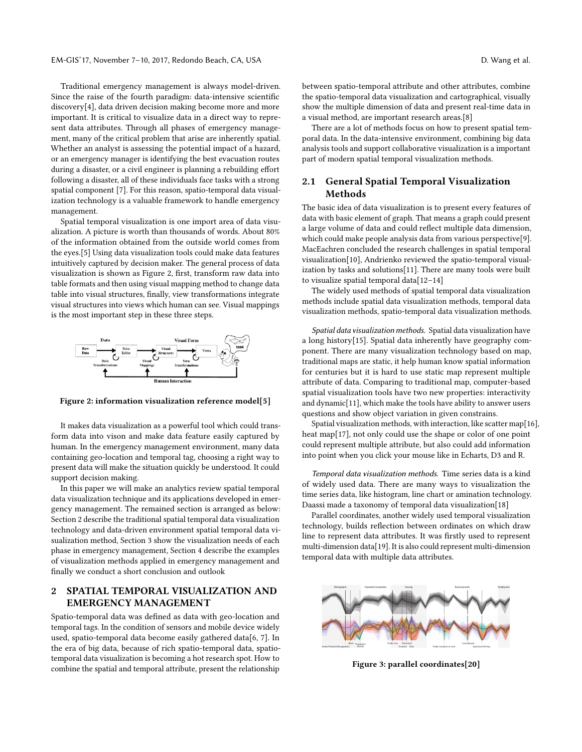EM-GIS'17, November 7-10, 2017, Redondo Beach, CA, USA D. Wang et al.

Traditional emergency management is always model-driven. Since the raise of the fourth paradigm: data-intensive scientific discovery[\[4\]](#page-5-3), data driven decision making become more and more important. It is critical to visualize data in a direct way to represent data attributes. Through all phases of emergency management, many of the critical problem that arise are inherently spatial. Whether an analyst is assessing the potential impact of a hazard, or an emergency manager is identifying the best evacuation routes during a disaster, or a civil engineer is planning a rebuilding effort following a disaster, all of these individuals face tasks with a strong spatial component [7]. For this reason, spatio-temporal data visualization technology is a valuable framework to handle emergency management.

Spatial temporal visualization is one import area of data visualization. A picture is worth than thousands of words. About 80% of the information obtained from the outside world comes from the eyes.[\[5\]](#page-5-4) Using data visualization tools could make data features intuitively captured by decision maker. The general process of data visualization is shown as Figure 2, first, transform raw data into table formats and then using visual mapping method to change data table into visual structures, finally, view transformations integrate visual structures into views which human can see. Visual mappings is the most important step in these three steps.



Figure 2: information visualization reference model[\[5\]](#page-5-4)

It makes data visualization as a powerful tool which could transform data into vison and make data feature easily captured by human. In the emergency management environment, many data containing geo-location and temporal tag, choosing a right way to present data will make the situation quickly be understood. It could support decision making.

In this paper we will make an analytics review spatial temporal data visualization technique and its applications developed in emergency management. The remained section is arranged as below: Section 2 describe the traditional spatial temporal data visualization technology and data-driven environment spatial temporal data visualization method, Section 3 show the visualization needs of each phase in emergency management, Section 4 describe the examples of visualization methods applied in emergency management and finally we conduct a short conclusion and outlook

#### 2 SPATIAL TEMPORAL VISUALIZATION AND EMERGENCY MANAGEMENT

Spatio-temporal data was defined as data with geo-location and temporal tags. In the condition of sensors and mobile device widely used, spatio-temporal data become easily gathered data[\[6,](#page-5-5) [7\]](#page-5-6). In the era of big data, because of rich spatio-temporal data, spatiotemporal data visualization is becoming a hot research spot. How to combine the spatial and temporal attribute, present the relationship

between spatio-temporal attribute and other attributes, combine the spatio-temporal data visualization and cartographical, visually show the multiple dimension of data and present real-time data in a visual method, are important research areas.[\[8\]](#page-5-7)

There are a lot of methods focus on how to present spatial temporal data. In the data-intensive environment, combining big data analysis tools and support collaborative visualization is a important part of modern spatial temporal visualization methods.

### 2.1 General Spatial Temporal Visualization Methods

The basic idea of data visualization is to present every features of data with basic element of graph. That means a graph could present a large volume of data and could reflect multiple data dimension, which could make people analysis data from various perspective[\[9\]](#page-5-8). MacEachren concluded the research challenges in spatial temporal visualization[\[10\]](#page-5-9), Andrienko reviewed the spatio-temporal visualization by tasks and solutions[\[11\]](#page-5-10). There are many tools were built to visualize spatial temporal data[\[12](#page-5-11)[–14\]](#page-5-12)

The widely used methods of spatial temporal data visualization methods include spatial data visualization methods, temporal data visualization methods, spatio-temporal data visualization methods.

Spatial data visualization methods. Spatial data visualization have a long history[\[15\]](#page-5-13). Spatial data inherently have geography component. There are many visualization technology based on map, traditional maps are static, it help human know spatial information for centuries but it is hard to use static map represent multiple attribute of data. Comparing to traditional map, computer-based spatial visualization tools have two new properties: interactivity and dynamic[\[11\]](#page-5-10), which make the tools have ability to answer users questions and show object variation in given constrains.

Spatial visualization methods, with interaction, like scatter map[\[16\]](#page-5-14), heat map[\[17\]](#page-5-15), not only could use the shape or color of one point could represent multiple attribute, but also could add information into point when you click your mouse like in Echarts, D3 and R.

Temporal data visualization methods. Time series data is a kind of widely used data. There are many ways to visualization the time series data, like histogram, line chart or amination technology. Daassi made a taxonomy of temporal data visualization[\[18\]](#page-5-16)

Parallel coordinates, another widely used temporal visualization technology, builds reflection between ordinates on which draw line to represent data attributes. It was firstly used to represent multi-dimension data[\[19\]](#page-5-17). It is also could represent multi-dimension temporal data with multiple data attributes.



Figure 3: parallel coordinates[\[20\]](#page-5-18)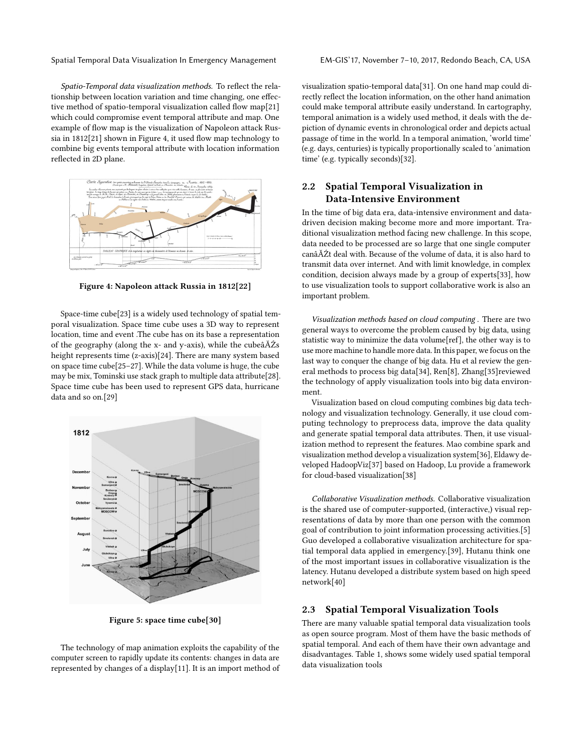Spatial Temporal Data Visualization In Emergency Management EM-GIS'17, November 7–10, 2017, Redondo Beach, CA, USA

Spatio-Temporal data visualization methods. To reflect the relationship between location variation and time changing, one effective method of spatio-temporal visualization called flow map[\[21\]](#page-5-19) which could compromise event temporal attribute and map. One example of flow map is the visualization of Napoleon attack Russia in 1812[\[21\]](#page-5-19) shown in Figure 4, it used flow map technology to combine big events temporal attribute with location information reflected in 2D plane.



Figure 4: Napoleon attack Russia in 1812[\[22\]](#page-5-20)

Space-time cube[\[23\]](#page-5-21) is a widely used technology of spatial temporal visualization. Space time cube uses a 3D way to represent location, time and event .The cube has on its base a representation of the geography (along the x- and y-axis), while the cubeâĂŹs height represents time (z-axis)[\[24\]](#page-5-22). There are many system based on space time cube[\[25](#page-5-23)[–27\]](#page-5-24). While the data volume is huge, the cube may be mix, Tominski use stack graph to multiple data attribute[\[28\]](#page-5-25). Space time cube has been used to represent GPS data, hurricane data and so on.[\[29\]](#page-5-26)



Figure 5: space time cube[\[30\]](#page-5-27)

The technology of map animation exploits the capability of the computer screen to rapidly update its contents: changes in data are represented by changes of a display[\[11\]](#page-5-10). It is an import method of visualization spatio-temporal data[\[31\]](#page-5-28). On one hand map could directly reflect the location information, on the other hand animation could make temporal attribute easily understand. In cartography, temporal animation is a widely used method, it deals with the depiction of dynamic events in chronological order and depicts actual passage of time in the world. In a temporal animation, 'world time' (e.g. days, centuries) is typically proportionally scaled to 'animation time' (e.g. typically seconds)[\[32\]](#page-5-29).

# 2.2 Spatial Temporal Visualization in Data-Intensive Environment

In the time of big data era, data-intensive environment and datadriven decision making become more and more important. Traditional visualization method facing new challenge. In this scope, data needed to be processed are so large that one single computer canâĂŹt deal with. Because of the volume of data, it is also hard to transmit data over internet. And with limit knowledge, in complex condition, decision always made by a group of experts[\[33\]](#page-5-30), how to use visualization tools to support collaborative work is also an important problem.

Visualization methods based on cloud computing . There are two general ways to overcome the problem caused by big data, using statistic way to minimize the data volume[ref], the other way is to use more machine to handle more data. In this paper, we focus on the last way to conquer the change of big data. Hu et al review the general methods to process big data[\[34\]](#page-5-31), Ren[\[8\]](#page-5-7), Zhang[\[35\]](#page-5-32)reviewed the technology of apply visualization tools into big data environment.

Visualization based on cloud computing combines big data technology and visualization technology. Generally, it use cloud computing technology to preprocess data, improve the data quality and generate spatial temporal data attributes. Then, it use visualization method to represent the features. Mao combine spark and visualization method develop a visualization system[\[36\]](#page-5-33), Eldawy developed HadoopViz[\[37\]](#page-5-34) based on Hadoop, Lu provide a framework for cloud-based visualization[\[38\]](#page-5-35)

Collaborative Visualization methods. Collaborative visualization is the shared use of computer-supported, (interactive,) visual representations of data by more than one person with the common goal of contribution to joint information processing activities.[\[5\]](#page-5-4) Guo developed a collaborative visualization architecture for spatial temporal data applied in emergency.[\[39\]](#page-5-36), Hutanu think one of the most important issues in collaborative visualization is the latency. Hutanu developed a distribute system based on high speed network[\[40\]](#page-5-37)

# 2.3 Spatial Temporal Visualization Tools

There are many valuable spatial temporal data visualization tools as open source program. Most of them have the basic methods of spatial temporal. And each of them have their own advantage and disadvantages. Table 1, shows some widely used spatial temporal data visualization tools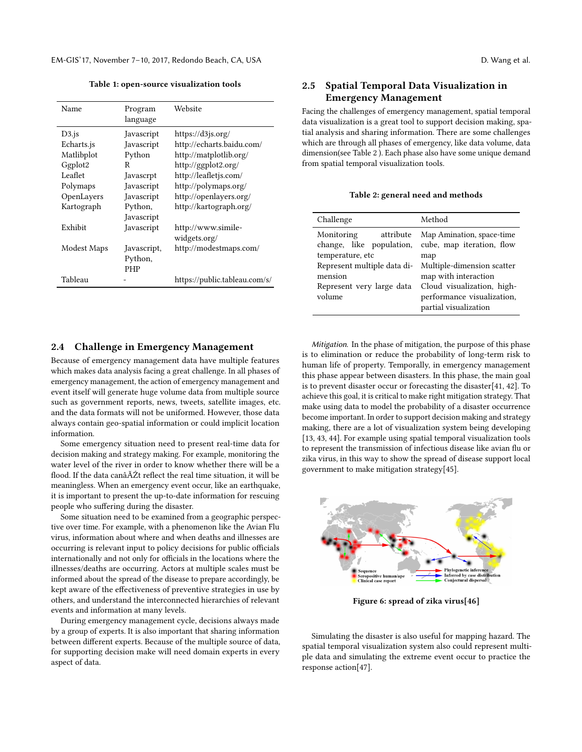EM-GIS'17, November 7-10, 2017, Redondo Beach, CA, USA D. Wang et al.

Table 1: open-source visualization tools

| Name        | Program<br>language | Website                       |
|-------------|---------------------|-------------------------------|
| $D3$ .js    | Javascript          | https://d3js.org/             |
| Echarts.js  | Javascript          | http://echarts.baidu.com/     |
| Matlibplot  | Python              | http://matplotlib.org/        |
| Ggplot2     | R                   | http://ggplot2.org/           |
| Leaflet     | Javascrpt           | http://leafletjs.com/         |
| Polymaps    | Javascript          | http://polymaps.org/          |
| OpenLayers  | Javascript          | http://openlayers.org/        |
| Kartograph  | Python,             | http://kartograph.org/        |
|             | Javascript          |                               |
| Exhibit     | Javascript          | http://www.simile-            |
|             |                     | widgets.org/                  |
| Modest Maps | Javascript,         | http://modestmaps.com/        |
|             | Python,             |                               |
|             | PHP                 |                               |
| Tableau     |                     | https://public.tableau.com/s/ |

#### 2.4 Challenge in Emergency Management

Because of emergency management data have multiple features which makes data analysis facing a great challenge. In all phases of emergency management, the action of emergency management and event itself will generate huge volume data from multiple source such as government reports, news, tweets, satellite images, etc. and the data formats will not be uniformed. However, those data always contain geo-spatial information or could implicit location information.

Some emergency situation need to present real-time data for decision making and strategy making. For example, monitoring the water level of the river in order to know whether there will be a flood. If the data canâĂŹt reflect the real time situation, it will be meaningless. When an emergency event occur, like an earthquake, it is important to present the up-to-date information for rescuing people who suffering during the disaster.

Some situation need to be examined from a geographic perspective over time. For example, with a phenomenon like the Avian Flu virus, information about where and when deaths and illnesses are occurring is relevant input to policy decisions for public officials internationally and not only for officials in the locations where the illnesses/deaths are occurring. Actors at multiple scales must be informed about the spread of the disease to prepare accordingly, be kept aware of the effectiveness of preventive strategies in use by others, and understand the interconnected hierarchies of relevant events and information at many levels.

During emergency management cycle, decisions always made by a group of experts. It is also important that sharing information between different experts. Because of the multiple source of data, for supporting decision make will need domain experts in every aspect of data.

# 2.5 Spatial Temporal Data Visualization in Emergency Management

Facing the challenges of emergency management, spatial temporal data visualization is a great tool to support decision making, spatial analysis and sharing information. There are some challenges which are through all phases of emergency, like data volume, data dimension(see Table 2 ). Each phase also have some unique demand from spatial temporal visualization tools.

Table 2: general need and methods

| Challenge                                                                     | Method                                                                                                                                  |  |
|-------------------------------------------------------------------------------|-----------------------------------------------------------------------------------------------------------------------------------------|--|
| Monitoring<br>attribute<br>change, like population,<br>temperature, etc       | Map Amination, space-time<br>cube, map iteration, flow<br>map                                                                           |  |
| Represent multiple data di-<br>mension<br>Represent very large data<br>volume | Multiple-dimension scatter<br>map with interaction<br>Cloud visualization, high-<br>performance visualization,<br>partial visualization |  |

Mitigation. In the phase of mitigation, the purpose of this phase is to elimination or reduce the probability of long-term risk to human life of property. Temporally, in emergency management this phase appear between disasters. In this phase, the main goal is to prevent disaster occur or forecasting the disaster[\[41,](#page-5-38) [42\]](#page-5-39). To achieve this goal, it is critical to make right mitigation strategy. That make using data to model the probability of a disaster occurrence become important. In order to support decision making and strategy making, there are a lot of visualization system being developing [\[13,](#page-5-40) [43,](#page-5-41) [44\]](#page-5-42). For example using spatial temporal visualization tools to represent the transmission of infectious disease like avian flu or zika virus, in this way to show the spread of disease support local government to make mitigation strategy[\[45\]](#page-5-43).



Figure 6: spread of zika virus[\[46\]](#page-5-44)

Simulating the disaster is also useful for mapping hazard. The spatial temporal visualization system also could represent multiple data and simulating the extreme event occur to practice the response action[\[47\]](#page-5-45).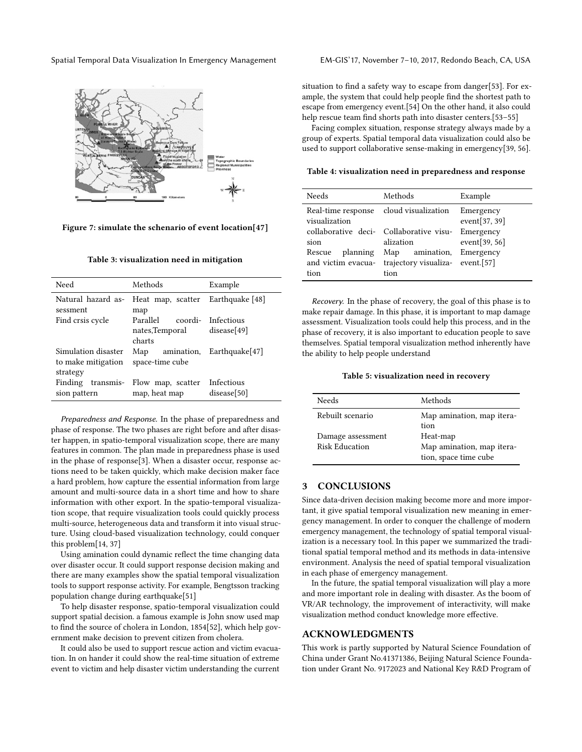Spatial Temporal Data Visualization In Emergency Management EM-GIS'17, November 7–10, 2017, Redondo Beach, CA, USA



Figure 7: simulate the schenario of event location[\[47\]](#page-5-45)

|  |  |  | Table 3: visualization need in mitigation |  |
|--|--|--|-------------------------------------------|--|
|  |  |  |                                           |  |

| Need                                      | Methods                                      | Example                      |
|-------------------------------------------|----------------------------------------------|------------------------------|
| Natural hazard as-<br>sessment            | Heat map, scatter Earthquake [48]            |                              |
| Find crsis cycle                          | map<br>Parallel                              | coordi- Infectious           |
|                                           | nates,Temporal<br>charts                     | disease[49]                  |
| Simulation disaster<br>to make mitigation | Map<br>space-time cube                       | $amination$ , Earthquake[47] |
| strategy                                  |                                              |                              |
| Finding<br>sion pattern                   | transmis- Flow map, scatter<br>map, heat map | Infectious<br>disease[50]    |

Preparedness and Response. In the phase of preparedness and phase of response. The two phases are right before and after disaster happen, in spatio-temporal visualization scope, there are many features in common. The plan made in preparedness phase is used in the phase of response[\[3\]](#page-5-2). When a disaster occur, response actions need to be taken quickly, which make decision maker face a hard problem, how capture the essential information from large amount and multi-source data in a short time and how to share information with other export. In the spatio-temporal visualization scope, that require visualization tools could quickly process multi-source, heterogeneous data and transform it into visual structure. Using cloud-based visualization technology, could conquer this problem[\[14,](#page-5-12) [37\]](#page-5-34)

Using amination could dynamic reflect the time changing data over disaster occur. It could support response decision making and there are many examples show the spatial temporal visualization tools to support response activity. For example, Bengtsson tracking population change during earthquake[\[51\]](#page-5-49)

To help disaster response, spatio-temporal visualization could support spatial decision. a famous example is John snow used map to find the source of cholera in London, 1854[\[52\]](#page-5-50), which help government make decision to prevent citizen from cholera.

It could also be used to support rescue action and victim evacuation. In on hander it could show the real-time situation of extreme event to victim and help disaster victim understanding the current

situation to find a safety way to escape from danger[\[53\]](#page-6-1). For example, the system that could help people find the shortest path to escape from emergency event.[54] On the other hand, it also could help rescue team find shorts path into disaster centers.[\[53](#page-6-1)[–55\]](#page-6-2)

Facing complex situation, response strategy always made by a group of experts. Spatial temporal data visualization could also be used to support collaborative sense-making in emergency[\[39,](#page-5-36) [56\]](#page-6-3).

Table 4: visualization need in preparedness and response

| <b>Needs</b>                                                                                                        | Methods                                                                                                                         | Example                                                         |
|---------------------------------------------------------------------------------------------------------------------|---------------------------------------------------------------------------------------------------------------------------------|-----------------------------------------------------------------|
| Real-time response cloud visualization<br>visualization<br>sion<br>planning<br>Rescue<br>and victim evacua-<br>tion | collaborative deci- Collaborative visu- Emergency<br>alization<br>amination,<br>Map<br>trajectory visualiza- event.[57]<br>tion | Emergency<br>event $[37, 39]$<br>event[ $39, 56$ ]<br>Emergency |

Recovery. In the phase of recovery, the goal of this phase is to make repair damage. In this phase, it is important to map damage assessment. Visualization tools could help this process, and in the phase of recovery, it is also important to education people to save themselves. Spatial temporal visualization method inherently have the ability to help people understand

#### Table 5: visualization need in recovery

| Needs                               | Methods                                                        |
|-------------------------------------|----------------------------------------------------------------|
| Rebuilt scenario                    | Map amination, map itera-<br>tion                              |
| Damage assessment<br>Risk Education | Heat-map<br>Map amination, map itera-<br>tion, space time cube |

#### 3 CONCLUSIONS

Since data-driven decision making become more and more important, it give spatial temporal visualization new meaning in emergency management. In order to conquer the challenge of modern emergency management, the technology of spatial temporal visualization is a necessary tool. In this paper we summarized the traditional spatial temporal method and its methods in data-intensive environment. Analysis the need of spatial temporal visualization in each phase of emergency management.

In the future, the spatial temporal visualization will play a more and more important role in dealing with disaster. As the boom of VR/AR technology, the improvement of interactivity, will make visualization method conduct knowledge more effective.

#### ACKNOWLEDGMENTS

This work is partly supported by Natural Science Foundation of China under Grant No.41371386, Beijing Natural Science Foundation under Grant No. 9172023 and National Key R&D Program of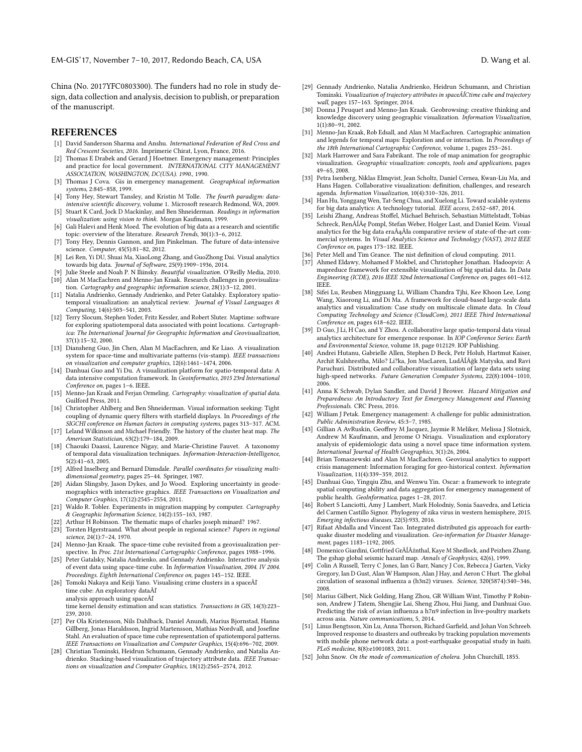EM-GIS'17, November 7-10, 2017, Redondo Beach, CA, USA D. Wang et al.

China (No. 2017YFC0803300). The funders had no role in study design, data collection and analysis, decision to publish, or preparation of the manuscript.

#### **REFERENCES**

- <span id="page-5-0"></span>[1] David Sanderson Sharma and Anshu. International Federation of Red Cross and Red Crescent Societies, 2016. Imprimerie Chirat, Lyon, France, 2016.
- <span id="page-5-1"></span>[2] Thomas E Drabek and Gerard J Hoetmer. Emergency management: Principles and practice for local government. INTERNATIONAL CITY MANAGEMENT ASSOCIATION, WASHINGTON, DC(USA). 1990., 1990.
- <span id="page-5-2"></span>[3] Thomas J Cova. Gis in emergency management. Geographical information systems, 2:845–858, 1999.
- <span id="page-5-3"></span>[4] Tony Hey, Stewart Tansley, and Kristin M Tolle. The fourth paradigm: dataintensive scientific discovery, volume 1. Microsoft research Redmond, WA, 2009.
- <span id="page-5-4"></span>[5] Stuart K Card, Jock D Mackinlay, and Ben Shneiderman. Readings in information visualization: using vision to think. Morgan Kaufmann, 1999.
- <span id="page-5-5"></span>[6] Gali Halevi and Henk Moed. The evolution of big data as a research and scientific topic: overview of the literature. Research Trends, 30(1):3–6, 2012.
- <span id="page-5-6"></span>[7] Tony Hey, Dennis Gannon, and Jim Pinkelman. The future of data-intensive science. Computer, 45(5):81–82, 2012.
- <span id="page-5-7"></span>[8] Lei Ren, Yi DU, Shuai Ma, XiaoLong Zhang, and GuoZhong Dai. Visual analytics towards big data. Journal of Software, 25(9):1909–1936, 2014.
- <span id="page-5-9"></span><span id="page-5-8"></span>[9] Julie Steele and Noah P. N Iliinsky. Beautiful visualization. O'Reilly Media, 2010. [10] Alan M MacEachren and Menno-Jan Kraak. Research challenges in geovisualiza-
- tion. Cartography and geographic information science, 28(1):3–12, 2001. [11] Natalia Andrienko, Gennady Andrienko, and Peter Gatalsky. Exploratory spatio-
- <span id="page-5-10"></span>temporal visualization: an analytical review. Journal of Visual Languages & Computing, 14(6):503–541, 2003.
- <span id="page-5-11"></span>[12] Terry Slocum, Stephen Yoder, Fritz Kessler, and Robert Sluter. Maptime: software for exploring spatiotemporal data associated with point locations. Cartographica: The International Journal for Geographic Information and Geovisualization, 37(1):15–32, 2000.
- <span id="page-5-40"></span>[13] Diansheng Guo, Jin Chen, Alan M MacEachren, and Ke Liao. A visualization system for space-time and multivariate patterns (vis-stamp). IEEE transactions on visualization and computer graphics, 12(6):1461–1474, 2006.
- <span id="page-5-12"></span>[14] Danhuai Guo and Yi Du. A visualization platform for spatio-temporal data: A data intensive computation framework. In Geoinformatics, 2015 23rd International Conference on, pages 1–6. IEEE.
- <span id="page-5-13"></span>[15] Menno-Jan Kraak and Ferjan Ormeling. Cartography: visualization of spatial data. Guilford Press, 2011.
- <span id="page-5-14"></span>[16] Christopher Ahlberg and Ben Shneiderman. Visual information seeking: Tight coupling of dynamic query filters with starfield displays. In Proceedings of the SIGCHI conference on Human factors in computing systems, pages 313–317. ACM.
- <span id="page-5-15"></span>[17] Leland Wilkinson and Michael Friendly. The history of the cluster heat map. The American Statistician, 63(2):179–184, 2009.
- <span id="page-5-16"></span>[18] Chaouki Daassi, Laurence Nigay, and Marie-Christine Fauvet. A taxonomy of temporal data visualization techniques. Information-Interaction-Intelligence, 5(2):41–63, 2005.
- <span id="page-5-17"></span>[19] Alfred Inselberg and Bernard Dimsdale. Parallel coordinates for visualizing multidimensional geometry, pages 25–44. Springer, 1987.
- <span id="page-5-18"></span>[20] Aidan Slingsby, Jason Dykes, and Jo Wood. Exploring uncertainty in geodemographics with interactive graphics. IEEE Transactions on Visualization and Computer Graphics, 17(12):2545–2554, 2011.
- <span id="page-5-19"></span>[21] Waldo R. Tobler. Experiments in migration mapping by computer. Cartography & Geographic Information Science, 14(2):155–163, 1987.
- <span id="page-5-20"></span>[22] Arthur H Robinson. The thematic maps of charles joseph minard? 1967.
- <span id="page-5-21"></span>[23] Torsten Hgerstraand. What about people in regional science? Papers in regional science, 24(1):7–24, 1970.
- <span id="page-5-22"></span>[24] Menno-Jan Kraak. The space-time cube revisited from a geovisualization perspective. In Proc. 21st International Cartographic Conference, pages 1988–1996.
- <span id="page-5-23"></span>[25] Peter Gatalsky, Natalia Andrienko, and Gennady Andrienko. Interactive analysis of event data using space-time cube. In Information Visualisation, 2004. IV 2004. Proceedings. Eighth International Conference on, pages 145–152. IEEE.
- [26] Tomoki Nakaya and Keiji Yano. Visualising crime clusters in a spaceÂľ time cube: An exploratory dataÂľ analysis approach using spaceÂľ time kernel density estimation and scan statistics. Transactions in GIS, 14(3):223– 239, 2010.
- <span id="page-5-24"></span>[27] Per Ola Kristensson, Nils Dahlback, Daniel Anundi, Marius Bjornstad, Hanna Gillberg, Jonas Haraldsson, Ingrid Martensson, Mathias Nordvall, and Josefine Stahl. An evaluation of space time cube representation of spatiotemporal patterns. IEEE Transactions on Visualization and Computer Graphics, 15(4):696–702, 2009.
- <span id="page-5-25"></span>[28] Christian Tominski, Heidrun Schumann, Gennady Andrienko, and Natalia Andrienko. Stacking-based visualization of trajectory attribute data. IEEE Transactions on visualization and Computer Graphics, 18(12):2565–2574, 2012.
- <span id="page-5-26"></span>[29] Gennady Andrienko, Natalia Andrienko, Heidrun Schumann, and Christian Tominski. Visualization of trajectory attributes in spaceÂĺCtime cube and trajectory wall, pages 157–163. Springer, 2014.
- <span id="page-5-27"></span>[30] Donna J Peuquet and Menno-Jan Kraak. Geobrowsing: creative thinking and knowledge discovery using geographic visualization. Information Visualization, 1(1):80–91, 2002.
- <span id="page-5-28"></span>[31] Menno-Jan Kraak, Rob Edsall, and Alan M MacEachren. Cartographic animation and legends for temporal maps: Exploration and or interaction. In Proceedings of the 18th International Cartographic Conference, volume 1, pages 253–261.
- <span id="page-5-29"></span>[32] Mark Harrower and Sara Fabrikant. The role of map animation for geographic visualization. Geographic visualization: concepts, tools and applications, pages 49–65, 2008.
- <span id="page-5-30"></span>[33] Petra Isenberg, Niklas Elmqvist, Jean Scholtz, Daniel Cernea, Kwan-Liu Ma, and Hans Hagen. Collaborative visualization: definition, challenges, and research agenda. Information Visualization, 10(4):310–326, 2011.
- <span id="page-5-31"></span>[34] Han Hu, Yonggang Wen, Tat-Seng Chua, and Xuelong Li. Toward scalable systems for big data analytics: A technology tutorial. IEEE access, 2:652–687, 2014.
- <span id="page-5-32"></span>[35] Leishi Zhang, Andreas Stoffel, Michael Behrisch, Sebastian Mittelstadt, Tobias Schreck, RenÂĺÂę Pompl, Stefan Weber, Holger Last, and Daniel Keim. Visual analytics for the big data era $\hat{A}a\hat{A}b$ a comparative review of state-of-the-art commercial systems. In Visual Analytics Science and Technology (VAST), 2012 IEEE Conference on, pages 173–182. IEEE.
- <span id="page-5-33"></span>[36] Peter Mell and Tim Grance. The nist definition of cloud computing. 2011.
- <span id="page-5-34"></span>[37] Ahmed Eldawy, Mohamed F Mokbel, and Christopher Jonathan. Hadoopviz: A mapreduce framework for extensible visualization of big spatial data. In Data Engineering (ICDE), 2016 IEEE 32nd International Conference on, pages 601–612. IEEE.
- <span id="page-5-35"></span>[38] Sifei Lu, Reuben Mingguang Li, William Chandra Tjhi, Kee Khoon Lee, Long Wang, Xiaorong Li, and Di Ma. A framework for cloud-based large-scale data analytics and visualization: Case study on multiscale climate data. In Cloud Computing Technology and Science (CloudCom), 2011 IEEE Third International Conference on, pages 618–622. IEEE.
- <span id="page-5-36"></span>[39] D Guo, J Li, H Cao, and Y Zhou. A collaborative large spatio-temporal data visual analytics architecture for emergence response. In IOP Conference Series: Earth and Environmental Science, volume 18, page 012129. IOP Publishing.
- <span id="page-5-37"></span>[40] Andrei Hutanu, Gabrielle Allen, Stephen D Beck, Petr Holub, Hartmut Kaiser, Archit Kulshrestha, Milo? Li?ka, Jon MacLaren, LudÂĺÂğk Matyska, and Ravi Paruchuri. Distributed and collaborative visualization of large data sets using high-speed networks. Future Generation Computer Systems, 22(8):1004–1010, 2006.
- <span id="page-5-38"></span>[41] Anna K Schwab, Dylan Sandler, and David J Brower. Hazard Mitigation and Preparedness: An Introductory Text for Emergency Management and Planning Professionals. CRC Press, 2016.
- <span id="page-5-39"></span>[42] William J Petak. Emergency management: A challenge for public administration. Public Administration Review, 45:3–7, 1985.
- <span id="page-5-41"></span>[43] Gillian A AvRuskin, Geoffrey M Jacquez, Jaymie R Meliker, Melissa J Slotnick, Andrew M Kaufmann, and Jerome O Nriagu. Visualization and exploratory analysis of epidemiologic data using a novel space time information system. International Journal of Health Geographics, 3(1):26, 2004.
- <span id="page-5-42"></span>[44] Brian Tomaszewski and Alan M MacEachren. Geovisual analytics to support crisis management: Information foraging for geo-historical context. Information Visualization, 11(4):339–359, 2012.
- <span id="page-5-43"></span>[45] Danhuai Guo, Yingqiu Zhu, and Wenwu Yin. Oscar: a framework to integrate spatial computing ability and data aggregation for emergency management of public health. GeoInformatica, pages 1–28, 2017.
- <span id="page-5-44"></span>[46] Robert S Lanciotti, Amy J Lambert, Mark Holodniy, Sonia Saavedra, and Leticia del Carmen Castillo Signor. Phylogeny of zika virus in western hemisphere, 2015. Emerging infectious diseases, 22(5):933, 2016.
- <span id="page-5-45"></span>[47] Rifaat Abdalla and Vincent Tao. Integrated distributed gis approach for earthquake disaster modeling and visualization. Geo-information for Disaster Management, pages 1183–1192, 2005.
- <span id="page-5-46"></span>[48] Domenico Giardini, Gottfried GrÂĺÂźnthal, Kaye M Shedlock, and Peizhen Zhang. The gshap global seismic hazard map. Annals of Geophysics, 42(6), 1999.
- <span id="page-5-47"></span>[49] Colin A Russell, Terry C Jones, Ian G Barr, Nancy J Cox, Rebecca J Garten, Vicky Gregory, Ian D Gust, Alan W Hampson, Alan J Hay, and Aeron C Hurt. The global circulation of seasonal influenza a (h3n2) viruses. Science, 320(5874):340–346, 2008.
- <span id="page-5-48"></span>[50] Marius Gilbert, Nick Golding, Hang Zhou, GR William Wint, Timothy P Robinson, Andrew J Tatem, Shengjie Lai, Sheng Zhou, Hui Jiang, and Danhuai Guo. Predicting the risk of avian influenza a h7n9 infection in live-poultry markets across asia. Nature communications, 5, 2014.
- <span id="page-5-49"></span>[51] Linus Bengtsson, Xin Lu, Anna Thorson, Richard Garfield, and Johan Von Schreeb. Improved response to disasters and outbreaks by tracking population movements with mobile phone network data: a post-earthquake geospatial study in haiti. PLoS medicine, 8(8):e1001083, 2011.
- <span id="page-5-50"></span>[52] John Snow. On the mode of communication of cholera. John Churchill, 1855.